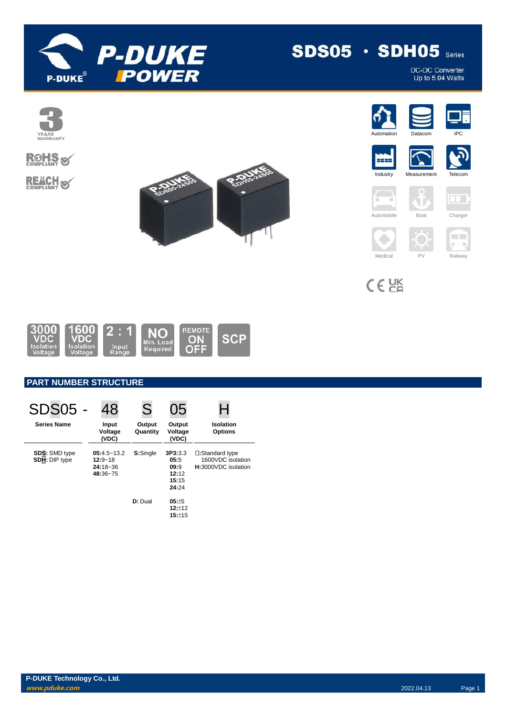

# $SDS05 \cdot SDH05$  Series

DC-DC Converter<br>Up to 5.04 Watts

















٠



Automobile Boat Charger

T





 $C \in \overline{GR}$ 



## **PART NUMBER STRUCTURE**

| <b>SDS05 -</b>                        | 48                                                         | S                  | 05                                                 |                                                             |
|---------------------------------------|------------------------------------------------------------|--------------------|----------------------------------------------------|-------------------------------------------------------------|
| <b>Series Name</b>                    | Input<br>Voltage<br>(VDC)                                  | Output<br>Quantity | Output<br>Voltage<br>(VDC)                         | Isolation<br><b>Options</b>                                 |
| <b>SDS: SMD type</b><br>SDH: DIP type | $05:4.5 - 13.2$<br>$12:9 - 18$<br>$24:18 - 36$<br>48:36~75 | S:Single           | 3P3:3.3<br>05:5<br>09:9<br>12:12<br>15:15<br>24:24 | □:Standard type<br>1600VDC isolation<br>H:3000VDC isolation |
|                                       |                                                            | D: Dual            | $05: +5$<br>12:12<br>15:±15                        |                                                             |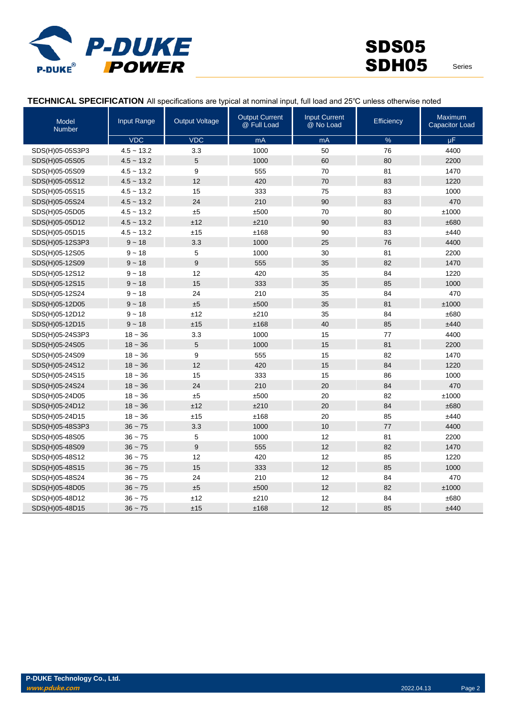

#### **TECHNICAL SPECIFICATION** All specifications are typical at nominal input, full load and 25℃ unless otherwise noted

| Model<br><b>Number</b> | Input Range  | <b>Output Voltage</b> | <b>Output Current</b><br>@ Full Load | <b>Input Current</b><br>@ No Load | <b>Efficiency</b> | <b>Maximum</b><br><b>Capacitor Load</b> |
|------------------------|--------------|-----------------------|--------------------------------------|-----------------------------------|-------------------|-----------------------------------------|
|                        | <b>VDC</b>   | <b>VDC</b>            | mA                                   | mA                                | $\%$              | $\mu$ F                                 |
| SDS(H)05-05S3P3        | $4.5 - 13.2$ | 3.3                   | 1000                                 | 50                                | 76                | 4400                                    |
| SDS(H)05-05S05         | $4.5 - 13.2$ | 5                     | 1000                                 | 60                                | 80                | 2200                                    |
| SDS(H)05-05S09         | $4.5 - 13.2$ | 9                     | 555                                  | 70                                | 81                | 1470                                    |
| SDS(H)05-05S12         | $4.5 - 13.2$ | 12                    | 420                                  | 70                                | 83                | 1220                                    |
| SDS(H)05-05S15         | $4.5 - 13.2$ | 15                    | 333                                  | 75                                | 83                | 1000                                    |
| SDS(H)05-05S24         | $4.5 - 13.2$ | 24                    | 210                                  | 90                                | 83                | 470                                     |
| SDS(H)05-05D05         | $4.5 - 13.2$ | ±5                    | ±500                                 | 70                                | 80                | ±1000                                   |
| SDS(H)05-05D12         | $4.5 - 13.2$ | ±12                   | ±210                                 | 90                                | 83                | ±680                                    |
| SDS(H)05-05D15         | $4.5 - 13.2$ | ±15                   | ±168                                 | 90                                | 83                | ±440                                    |
| SDS(H)05-12S3P3        | $9 - 18$     | 3.3                   | 1000                                 | 25                                | 76                | 4400                                    |
| SDS(H)05-12S05         | $9 - 18$     | 5                     | 1000                                 | 30                                | 81                | 2200                                    |
| SDS(H)05-12S09         | $9 - 18$     | $\boldsymbol{9}$      | 555                                  | 35                                | 82                | 1470                                    |
| SDS(H)05-12S12         | $9 - 18$     | 12                    | 420                                  | 35                                | 84                | 1220                                    |
| SDS(H)05-12S15         | $9 - 18$     | 15                    | 333                                  | 35                                | 85                | 1000                                    |
| SDS(H)05-12S24         | $9 - 18$     | 24                    | 210                                  | 35                                | 84                | 470                                     |
| SDS(H)05-12D05         | $9 - 18$     | ±5                    | ±500                                 | 35                                | 81                | ±1000                                   |
| SDS(H)05-12D12         | $9 - 18$     | ±12                   | ±210                                 | 35                                | 84                | ±680                                    |
| SDS(H)05-12D15         | $9 - 18$     | ±15                   | ±168                                 | 40                                | 85                | ±440                                    |
| SDS(H)05-24S3P3        | $18 - 36$    | 3.3                   | 1000                                 | 15                                | 77                | 4400                                    |
| SDS(H)05-24S05         | $18 - 36$    | 5                     | 1000                                 | 15                                | 81                | 2200                                    |
| SDS(H)05-24S09         | $18 - 36$    | 9                     | 555                                  | 15                                | 82                | 1470                                    |
| SDS(H)05-24S12         | $18 - 36$    | 12                    | 420                                  | 15                                | 84                | 1220                                    |
| SDS(H)05-24S15         | $18 - 36$    | 15                    | 333                                  | 15                                | 86                | 1000                                    |
| SDS(H)05-24S24         | $18 - 36$    | 24                    | 210                                  | 20                                | 84                | 470                                     |
| SDS(H)05-24D05         | $18 - 36$    | ±5                    | ±500                                 | 20                                | 82                | ±1000                                   |
| SDS(H)05-24D12         | $18 - 36$    | ±12                   | ±210                                 | 20                                | 84                | ±680                                    |
| SDS(H)05-24D15         | $18 - 36$    | ±15                   | ±168                                 | 20                                | 85                | ±440                                    |
| SDS(H)05-48S3P3        | $36 - 75$    | 3.3                   | 1000                                 | 10                                | 77                | 4400                                    |
| SDS(H)05-48S05         | $36 - 75$    | 5                     | 1000                                 | 12                                | 81                | 2200                                    |
| SDS(H)05-48S09         | $36 - 75$    | 9                     | 555                                  | 12                                | 82                | 1470                                    |
| SDS(H)05-48S12         | $36 - 75$    | 12                    | 420                                  | 12                                | 85                | 1220                                    |
| SDS(H)05-48S15         | $36 - 75$    | 15                    | 333                                  | 12                                | 85                | 1000                                    |
| SDS(H)05-48S24         | $36 - 75$    | 24                    | 210                                  | 12                                | 84                | 470                                     |
| SDS(H)05-48D05         | $36 - 75$    | ±5                    | ±500                                 | 12                                | 82                | ±1000                                   |
| SDS(H)05-48D12         | $36 - 75$    | ±12                   | ±210                                 | 12                                | 84                | ±680                                    |
| SDS(H)05-48D15         | $36 - 75$    | ±15                   | ±168                                 | 12                                | 85                | ±440                                    |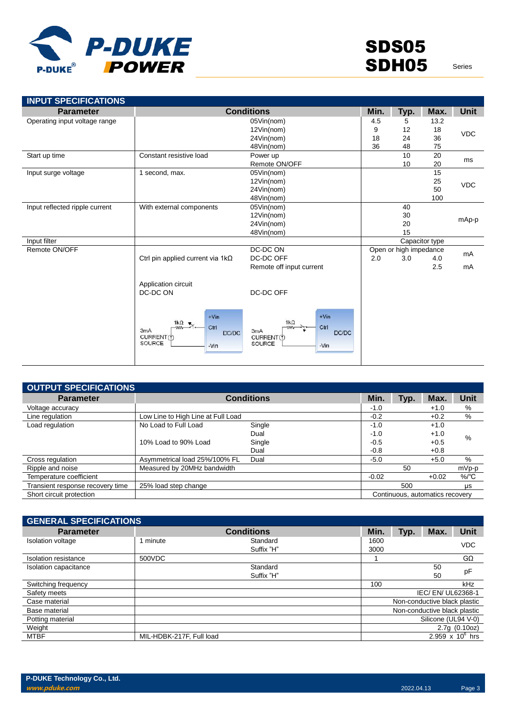

| <b>INPUT SPECIFICATIONS</b>    |                                                                                                |                                                                                 |      |                        |                |             |
|--------------------------------|------------------------------------------------------------------------------------------------|---------------------------------------------------------------------------------|------|------------------------|----------------|-------------|
| <b>Parameter</b>               |                                                                                                | <b>Conditions</b>                                                               | Min. | Typ.                   | Max.           | <b>Unit</b> |
| Operating input voltage range  |                                                                                                | 05Vin(nom)                                                                      | 4.5  | 5                      | 13.2           |             |
|                                |                                                                                                | 12Vin(nom)                                                                      | 9    | 12                     | 18             | <b>VDC</b>  |
|                                |                                                                                                | 24Vin(nom)                                                                      | 18   | 24                     | 36             |             |
|                                |                                                                                                | 48Vin(nom)                                                                      | 36   | 48                     | 75             |             |
| Start up time                  | Constant resistive load                                                                        | Power up                                                                        |      | 10                     | 20             | ms          |
|                                |                                                                                                | Remote ON/OFF                                                                   |      | 10                     | 20             |             |
| Input surge voltage            | 1 second, max.                                                                                 | 05Vin(nom)                                                                      |      |                        | 15             |             |
|                                |                                                                                                | 12Vin(nom)                                                                      |      |                        | 25             | <b>VDC</b>  |
|                                |                                                                                                | 24Vin(nom)                                                                      |      |                        | 50             |             |
|                                |                                                                                                | 48Vin(nom)                                                                      |      |                        | 100            |             |
| Input reflected ripple current | With external components                                                                       | 05Vin(nom)                                                                      |      | 40                     |                |             |
|                                |                                                                                                | 12Vin(nom)                                                                      |      | 30                     |                | mAp-p       |
|                                |                                                                                                | 24Vin(nom)                                                                      |      | 20                     |                |             |
|                                |                                                                                                | 48Vin(nom)                                                                      |      | 15                     |                |             |
| Input filter                   |                                                                                                |                                                                                 |      |                        | Capacitor type |             |
| Remote ON/OFF                  |                                                                                                | DC-DC ON                                                                        |      | Open or high impedance |                | mA          |
|                                | Ctrl pin applied current via $1k\Omega$                                                        | DC-DC OFF                                                                       | 2.0  | 3.0                    | 4.0            |             |
|                                |                                                                                                | Remote off input current                                                        |      |                        | 2.5            | mA          |
|                                | Application circuit<br>DC-DC ON                                                                | DC-DC OFF                                                                       |      |                        |                |             |
|                                | $+V$ in<br>1 $k\Omega$<br>Ctrl<br><b>WW-</b><br>3mA<br>DC/DC<br>CURRENT(1)<br>SOURCE<br>$-Vin$ | $+V$ in<br>$1k\Omega$<br>Ctrl<br>3mA<br>DC/DC<br>CURRENT(f)<br>SOURCE<br>$-Vin$ |      |                        |                |             |

| OUTPUT SPECIFICATIONS            |                                    |                   |         |                                 |         |                  |
|----------------------------------|------------------------------------|-------------------|---------|---------------------------------|---------|------------------|
| <b>Parameter</b>                 |                                    | <b>Conditions</b> | Min.    | Typ.                            | Max.    | Unit             |
| Voltage accuracy                 |                                    |                   | $-1.0$  |                                 | $+1.0$  | %                |
| Line regulation                  | Low Line to High Line at Full Load |                   | $-0.2$  |                                 | $+0.2$  | %                |
| Load regulation                  | No Load to Full Load               | Single            | $-1.0$  |                                 | $+1.0$  |                  |
|                                  |                                    | Dual              | $-1.0$  |                                 | $+1.0$  | %                |
|                                  | 10% Load to 90% Load               | Single            | $-0.5$  |                                 | $+0.5$  |                  |
|                                  |                                    | Dual              | $-0.8$  |                                 | $+0.8$  |                  |
| Cross regulation                 | Asymmetrical load 25%/100% FL      | Dual              | $-5.0$  |                                 | $+5.0$  | %                |
| Ripple and noise                 | Measured by 20MHz bandwidth        |                   |         | 50                              |         | mVp-p            |
| Temperature coefficient          |                                    |                   | $-0.02$ |                                 | $+0.02$ | $%$ $^{\circ}$ C |
| Transient response recovery time | 25% load step change               |                   |         | 500                             |         | <b>US</b>        |
| Short circuit protection         |                                    |                   |         | Continuous, automatics recovery |         |                  |

| <b>GENERAL SPECIFICATIONS</b> |                          |                   |      |      |                              |                    |
|-------------------------------|--------------------------|-------------------|------|------|------------------------------|--------------------|
| <b>Parameter</b>              |                          | <b>Conditions</b> | Min. | Typ. | Max.                         | Unit               |
| Isolation voltage             | minute                   | Standard          | 1600 |      |                              | <b>VDC</b>         |
|                               |                          | Suffix "H"        | 3000 |      |                              |                    |
| Isolation resistance          | 500VDC                   |                   |      |      |                              | $G\Omega$          |
| Isolation capacitance         |                          | Standard          |      |      | 50                           |                    |
|                               |                          | Suffix "H"        |      |      | 50                           | pF                 |
| Switching frequency           |                          |                   | 100  |      |                              | kHz                |
| Safety meets                  |                          |                   |      |      | IEC/ EN/ UL62368-1           |                    |
| Case material                 |                          |                   |      |      | Non-conductive black plastic |                    |
| Base material                 |                          |                   |      |      | Non-conductive black plastic |                    |
| Potting material              |                          |                   |      |      | Silicone (UL94 V-0)          |                    |
| Weight                        |                          |                   |      |      |                              | 2.7q(0.10oz)       |
| <b>MTBF</b>                   | MIL-HDBK-217F, Full load |                   |      |      |                              | 2.959 x $10^6$ hrs |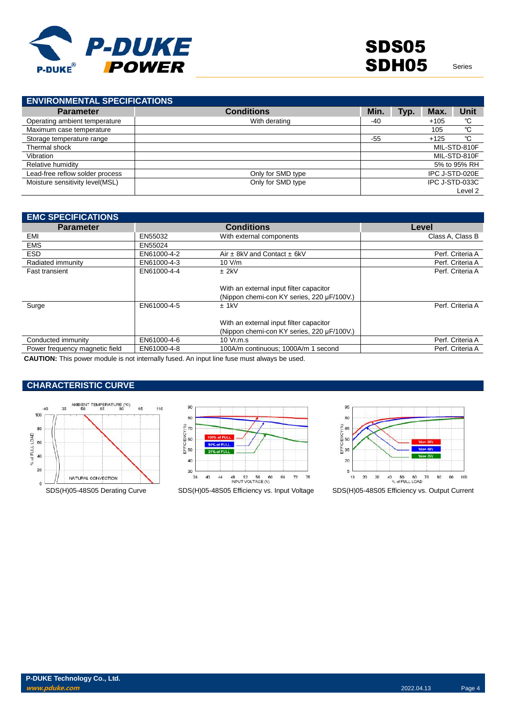

| <b>ENVIRONMENTAL SPECIFICATIONS</b> |                   |       |      |        |                |
|-------------------------------------|-------------------|-------|------|--------|----------------|
| <b>Parameter</b>                    | <b>Conditions</b> | Min.  | Typ. | Max.   | Unit           |
| Operating ambient temperature       | With derating     | $-40$ |      | $+105$ | °C             |
| Maximum case temperature            |                   |       |      | 105    | °C             |
| Storage temperature range           |                   | $-55$ |      | $+125$ | °C             |
| Thermal shock                       |                   |       |      |        | MIL-STD-810F   |
| Vibration                           |                   |       |      |        | MIL-STD-810F   |
| Relative humidity                   |                   |       |      |        | 5% to 95% RH   |
| Lead-free reflow solder process     | Only for SMD type |       |      |        | IPC J-STD-020E |
| Moisture sensitivity level(MSL)     | Only for SMD type |       |      |        | IPC J-STD-033C |
|                                     |                   |       |      |        | Level 2        |

| <b>EMC SPECIFICATIONS</b>      |             |                                            |                  |
|--------------------------------|-------------|--------------------------------------------|------------------|
| <b>Parameter</b>               |             | <b>Conditions</b>                          | Level            |
| EMI                            | EN55032     | With external components                   | Class A, Class B |
| <b>EMS</b>                     | EN55024     |                                            |                  |
| <b>ESD</b>                     | EN61000-4-2 | Air $\pm$ 8kV and Contact $\pm$ 6kV        | Perf. Criteria A |
| Radiated immunity              | EN61000-4-3 | 10 V/m                                     | Perf. Criteria A |
| <b>Fast transient</b>          | EN61000-4-4 | $±$ 2kV                                    | Perf. Criteria A |
|                                |             |                                            |                  |
|                                |             | With an external input filter capacitor    |                  |
|                                |             | (Nippon chemi-con KY series, 220 µF/100V.) |                  |
| Surge                          | EN61000-4-5 | $±$ 1kV                                    | Perf. Criteria A |
|                                |             |                                            |                  |
|                                |             | With an external input filter capacitor    |                  |
|                                |             | (Nippon chemi-con KY series, 220 µF/100V.) |                  |
| Conducted immunity             | EN61000-4-6 | 10 Vr.m.s                                  | Perf. Criteria A |
| Power frequency magnetic field | EN61000-4-8 | 100A/m continuous; 1000A/m 1 second        | Perf. Criteria A |

**CAUTION:** This power module is not internally fused. An input line fuse must always be used.

### **CHARACTERISTIC CURVE**







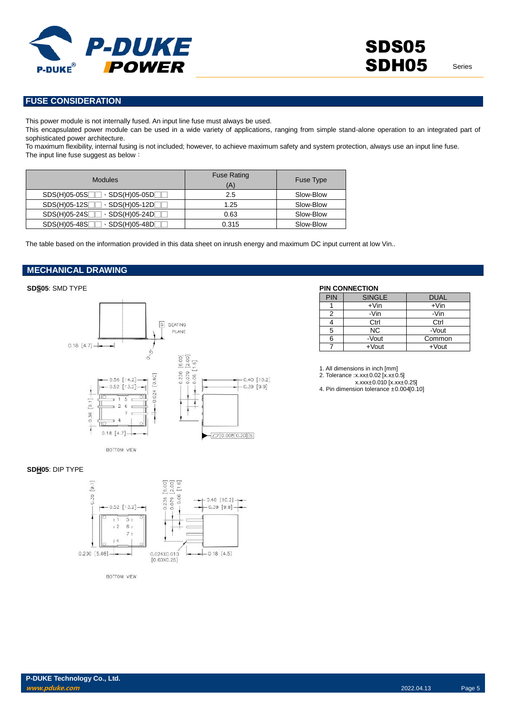

#### **FUSE CONSIDERATION**

This power module is not internally fused. An input line fuse must always be used.

This encapsulated power module can be used in a wide variety of applications, ranging from simple stand-alone operation to an integrated part of sophisticated power architecture.

To maximum flexibility, internal fusing is not included; however, to achieve maximum safety and system protection, always use an input line fuse. The input line fuse suggest as below:

| <b>Modules</b>                                | <b>Fuse Rating</b><br>(A) | <b>Fuse Type</b> |
|-----------------------------------------------|---------------------------|------------------|
| $\cdot$ SDS(H)05-05D $\Box$<br>$SDS(H)05-05S$ | 2.5                       | Slow-Blow        |
| $SDS(H)05-12S$<br>$\cdot$ SDS(H)05-12D $\Box$ | 1.25                      | Slow-Blow        |
| $SDS(H)05-24S$<br>$\cdot$ SDS(H)05-24D $\Box$ | 0.63                      | Slow-Blow        |
| $SDS(H)05-48S$<br>$\cdot$ SDS(H)05-48D $\Box$ | 0.315                     | Slow-Blow        |

The table based on the information provided in this data sheet on inrush energy and maximum DC input current at low Vin..

# **MECHANICAL DRAWING**

#### $\boxed{S}$ SEATING PLANE  $0.18$  [4.7]  $\rightarrow$ ۰  $\dot{\mathbf{r}}$  $\begin{bmatrix} 6.00 \\ 2.00 \\ 1.6 \end{bmatrix}$  $\mathcal{S}$  $-0.236$  $-0.079$  $[0.60]$  $-0.06$  $0.56$  [14.2]  $-0.40$  [10.2]  $-0.52$  [13.2]  $-0.39$  [9.9] 0.024 İ J  $[9.1] +$ 5  $-0.36$  $\overline{\phantom{a}}$  $0.18$  [4.7]  $-70.008[0.20]$ s BOTTOM VIEW

#### **SDS05**: SMD TYPE **PIN CONNECTION**

| <b>PIN</b> | <b>SINGLE</b> | <b>DUAL</b> |
|------------|---------------|-------------|
|            | $+V$ in       | $+V$ in     |
| 2          | -Vin          | -Vin        |
|            | Ctrl          | Ctrl        |
| 5          | ΝC            | -Vout       |
| 6          | -Vout         | Common      |
|            | $+$ Vout      | $+$ Vout    |

1. All dimensions in inch [mm] 2. Tolerance :x.xx±0.02 [x.x±0.5]

x.xxx±0.010 [x.xx±0.25]

4. Pin dimension tolerance ±0.004[0.10]

#### **SDH05**: DIP TYPE



BOTTOM VIEW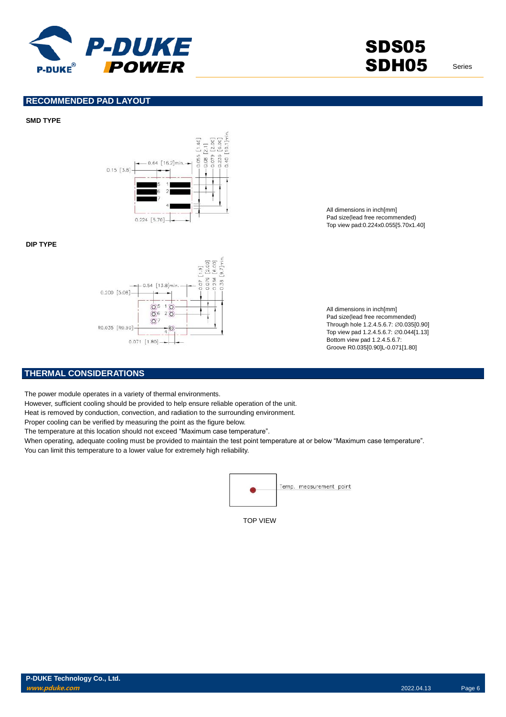

SDS05 SDH05 Series

#### **RECOMMENDED PAD LAYOUT**

#### **SMD TYPE**



#### **DIP TYPE**



All dimensions in inch[mm] Pad size(lead free recommended) Top view pad:0.224x0.055[5.70x1.40]

All dimensions in inch[mm] Pad size(lead free recommended) Through hole 1.2.4.5.6.7: ∅0.035[0.90] Top view pad 1.2.4.5.6.7: ∅0.044[1.13] Bottom view pad 1.2.4.5.6.7: Groove R0.035[0.90]L-0.071[1.80]

#### **THERMAL CONSIDERATIONS**

The power module operates in a variety of thermal environments.

However, sufficient cooling should be provided to help ensure reliable operation of the unit.

Heat is removed by conduction, convection, and radiation to the surrounding environment.

Proper cooling can be verified by measuring the point as the figure below.

The temperature at this location should not exceed "Maximum case temperature".

When operating, adequate cooling must be provided to maintain the test point temperature at or below "Maximum case temperature".

You can limit this temperature to a lower value for extremely high reliability.



TOP VIEW